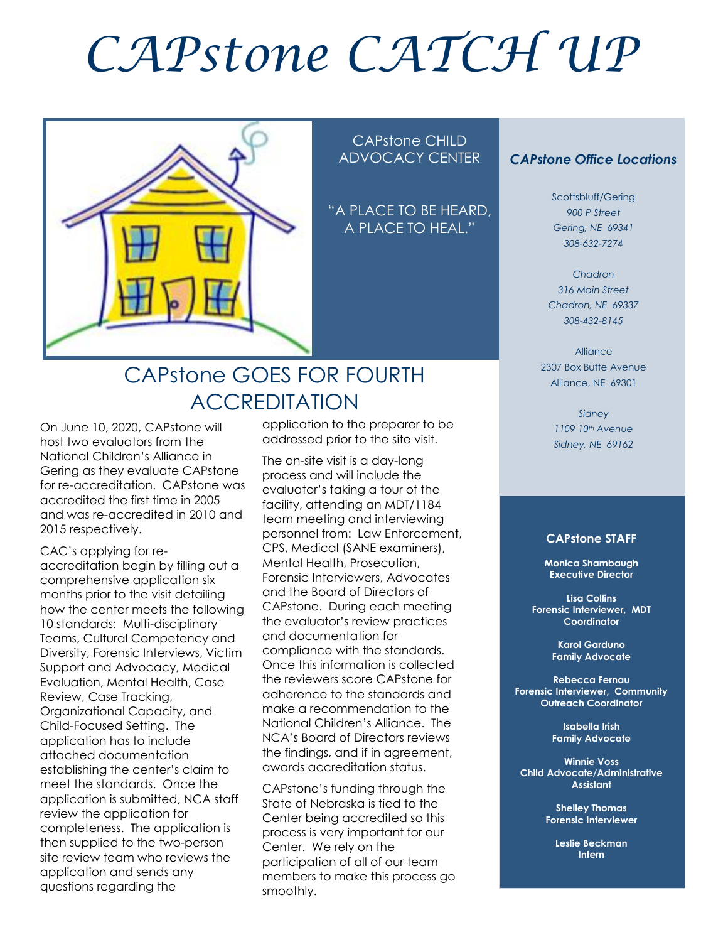# *CAPstone CATCH UP*



#### CAPstone CHILD ADVOCACY CENTER

"A PLACE TO BE HEARD, A PLACE TO HEAL."

### CAPstone GOES FOR FOURTH ACCREDITATION

On June 10, 2020, CAPstone will host two evaluators from the National Children's Alliance in Gering as they evaluate CAPstone for re-accreditation. CAPstone was accredited the first time in 2005 and was re-accredited in 2010 and 2015 respectively.

CAC's applying for reaccreditation begin by filling out a comprehensive application six months prior to the visit detailing how the center meets the following 10 standards: Multi-disciplinary Teams, Cultural Competency and Diversity, Forensic Interviews, Victim Support and Advocacy, Medical Evaluation, Mental Health, Case Review, Case Tracking, Organizational Capacity, and Child-Focused Setting. The application has to include attached documentation establishing the center's claim to meet the standards. Once the application is submitted, NCA staff review the application for completeness. The application is then supplied to the two-person site review team who reviews the application and sends any questions regarding the

application to the preparer to be addressed prior to the site visit.

The on-site visit is a day-long process and will include the evaluator's taking a tour of the facility, attending an MDT/1184 team meeting and interviewing personnel from: Law Enforcement, CPS, Medical (SANE examiners), Mental Health, Prosecution, Forensic Interviewers, Advocates and the Board of Directors of CAPstone. During each meeting the evaluator's review practices and documentation for compliance with the standards. Once this information is collected the reviewers score CAPstone for adherence to the standards and make a recommendation to the National Children's Alliance. The NCA's Board of Directors reviews the findings, and if in agreement, awards accreditation status.

CAPstone's funding through the State of Nebraska is tied to the Center being accredited so this process is very important for our Center. We rely on the participation of all of our team members to make this process go smoothly.

#### *CAPstone Office Locations*

Scottsbluff/Gering *900 P Street Gering, NE 69341 308-632-7274*

*Chadron 316 Main Street Chadron, NE 69337 308-432-8145*

Alliance 2307 Box Butte Avenue Alliance, NE 69301

> *Sidney 1109 10th Avenue Sidney, NE 69162*

#### **CAPstone STAFF**

**Monica Shambaugh Executive Director**

**Lisa Collins Forensic Interviewer, MDT Coordinator**

> **Karol Garduno Family Advocate**

**Rebecca Fernau Forensic Interviewer, Community Outreach Coordinator**

> **Isabella Irish Family Advocate**

**Winnie Voss Child Advocate/Administrative Assistant**

> **Shelley Thomas Forensic Interviewer**

**Leslie Beckman Intern**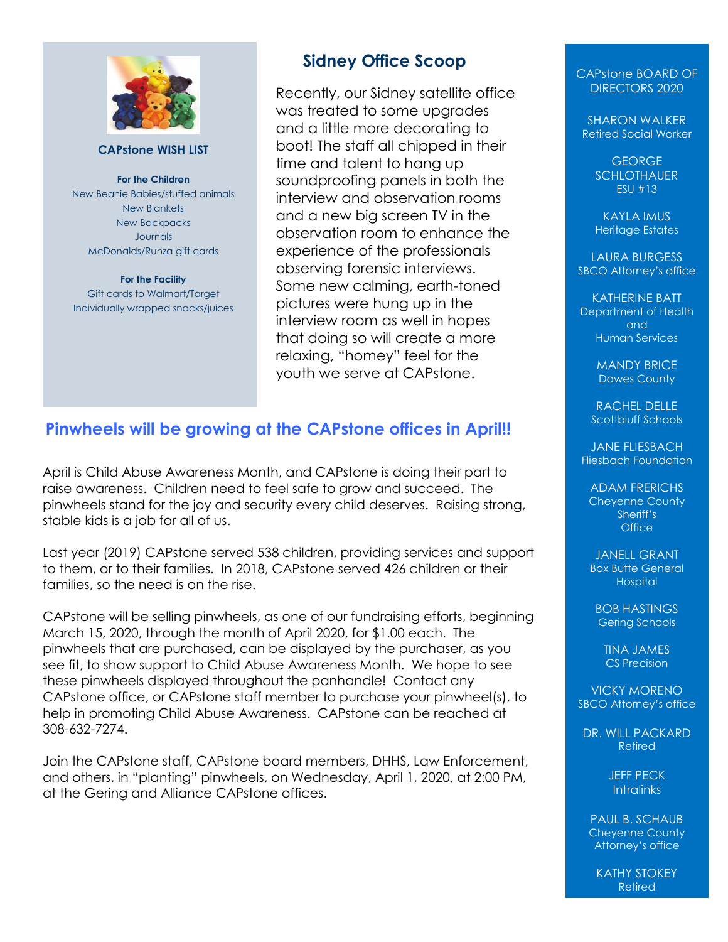

#### **CAPstone WISH LIST**

**For the Children** New Beanie Babies/stuffed animals New Blankets New Backpacks Journals McDonalds/Runza gift cards

**For the Facility** Gift cards to Walmart/Target Individually wrapped snacks/juices

#### **Sidney Office Scoop**

Recently, our Sidney satellite office was treated to some upgrades and a little more decorating to boot! The staff all chipped in their time and talent to hang up soundproofing panels in both the interview and observation rooms and a new big screen TV in the observation room to enhance the experience of the professionals observing forensic interviews. Some new calming, earth-toned pictures were hung up in the interview room as well in hopes that doing so will create a more relaxing, "homey" feel for the youth we serve at CAPstone.

#### **Pinwheels will be growing at the CAPstone offices in April!!**

April is Child Abuse Awareness Month, and CAPstone is doing their part to raise awareness. Children need to feel safe to grow and succeed. The pinwheels stand for the joy and security every child deserves. Raising strong, stable kids is a job for all of us.

Last year (2019) CAPstone served 538 children, providing services and support to them, or to their families. In 2018, CAPstone served 426 children or their families, so the need is on the rise.

CAPstone will be selling pinwheels, as one of our fundraising efforts, beginning March 15, 2020, through the month of April 2020, for \$1.00 each. The pinwheels that are purchased, can be displayed by the purchaser, as you see fit, to show support to Child Abuse Awareness Month. We hope to see these pinwheels displayed throughout the panhandle! Contact any CAPstone office, or CAPstone staff member to purchase your pinwheel(s), to help in promoting Child Abuse Awareness. CAPstone can be reached at 308-632-7274.

Join the CAPstone staff, CAPstone board members, DHHS, Law Enforcement, and others, in "planting" pinwheels, on Wednesday, April 1, 2020, at 2:00 PM, at the Gering and Alliance CAPstone offices.

CAPstone BOARD OF DIRECTORS 2020

SHARON WALKER Retired Social Worker

> GEORGE **SCHLOTHAUER** ESU #13

KAYLA IMUS Heritage Estates

LAURA BURGESS SBCO Attorney's office

KATHERINE BATT Department of Health and Human Services

> MANDY BRICE Dawes County

RACHEL DELLE Scottbluff Schools

JANE FLIESBACH Fliesbach Foundation

ADAM FRERICHS Cheyenne County Sheriff's **Office** 

JANELL GRANT Box Butte General **Hospital** 

BOB HASTINGS Gering Schools

TINA JAMES CS Precision

VICKY MORENO SBCO Attorney's office

DR. WILL PACKARD Retired

> JEFF PECK **Intralinks**

PAUL B. SCHAUB Cheyenne County Attorney's office

KATHY STOKEY Retired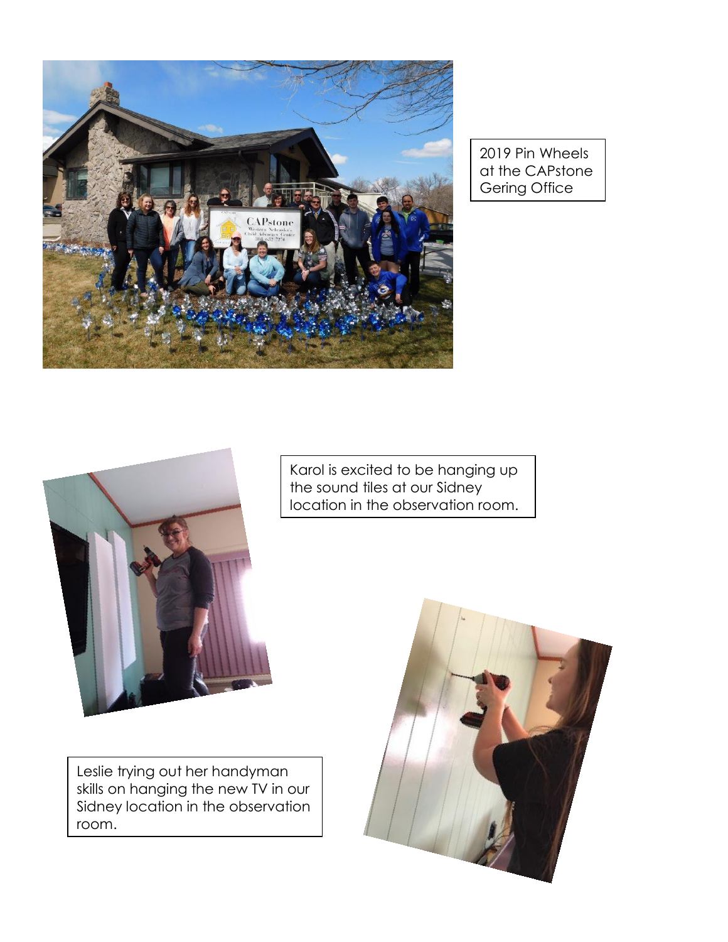

2019 Pin Wheels at the CAPstone Gering Office



Karol is excited to be hanging up the sound tiles at our Sidney location in the observation room.

Leslie trying out her handyman skills on hanging the new TV in our Sidney location in the observation room.

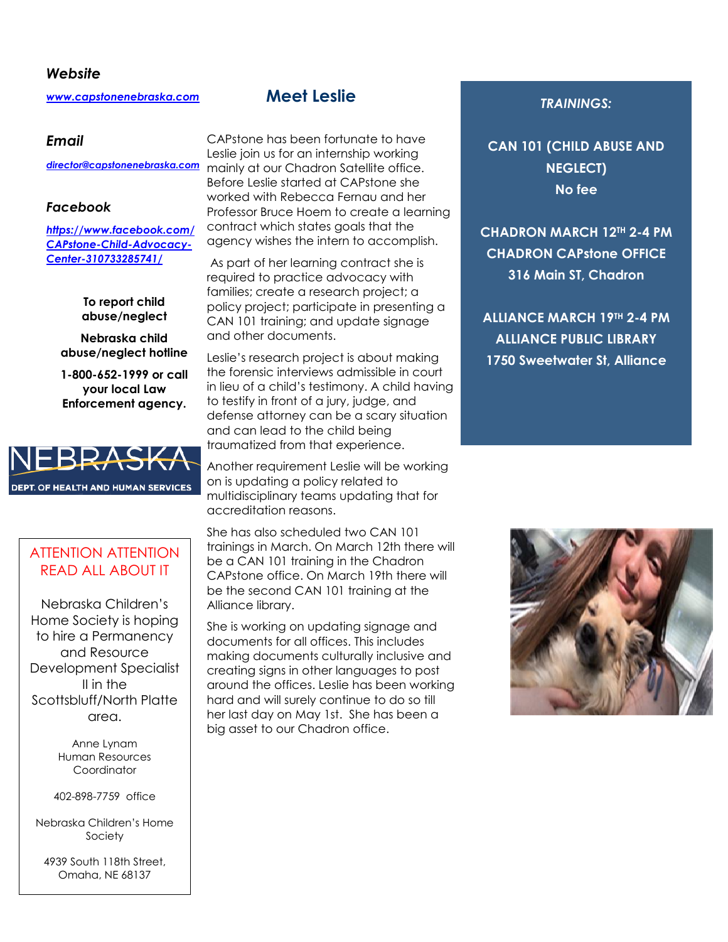#### *Website*

*[www.capstonenebraska.com](http://www.capstonenebraska.com/)*

#### *Email*

#### *Facebook*

*[https://www.facebook.com/](https://www.facebook.com/CAPstone-Child-Advocacy-Center-310733285741/) [CAPstone-Child-Advocacy-](https://www.facebook.com/CAPstone-Child-Advocacy-Center-310733285741/)[Center-310733285741/](https://www.facebook.com/CAPstone-Child-Advocacy-Center-310733285741/)*

> **To report child abuse/neglect**

**Nebraska child abuse/neglect hotline**

**1-800-652-1999 or call your local Law Enforcement agency.**



#### ATTENTION ATTENTION READ ALL ABOUT IT

Nebraska Children's Home Society is hoping to hire a Permanency and Resource Development Specialist II in the Scottsbluff/North Platte area.

> Anne Lynam Human Resources Coordinator

402-898-7759 office

Nebraska Children's Home Society

4939 South 118th Street, Omaha, NE 68137

Page 2

#### **Meet Leslie**

CAPstone has been fortunate to have Leslie join us for an internship working mainly at our Chadron Satellite office. *[director@capstonenebraska.com](mailto:director@capstonenebraska.com)* Before Leslie started at CAPstone she worked with Rebecca Fernau and her Professor Bruce Hoem to create a learning contract which states goals that the agency wishes the intern to accomplish.

> As part of her learning contract she is required to practice advocacy with families; create a research project; a policy project; participate in presenting a CAN 101 training; and update signage and other documents.

Leslie's research project is about making the forensic interviews admissible in court in lieu of a child's testimony. A child having to testify in front of a jury, judge, and defense attorney can be a scary situation and can lead to the child being traumatized from that experience.

Another requirement Leslie will be working on is updating a policy related to multidisciplinary teams updating that for accreditation reasons.

She has also scheduled two CAN 101 trainings in March. On March 12th there will be a CAN 101 training in the Chadron CAPstone office. On March 19th there will be the second CAN 101 training at the Alliance library.

She is working on updating signage and documents for all offices. This includes making documents culturally inclusive and creating signs in other languages to post around the offices. Leslie has been working hard and will surely continue to do so till her last day on May 1st. She has been a big asset to our Chadron office.

#### *TRAININGS:*

**CAN 101 (CHILD ABUSE AND NEGLECT) No fee**

**CHADRON MARCH 12TH 2-4 PM CHADRON CAPstone OFFICE 316 Main ST, Chadron**

**ALLIANCE MARCH 19TH 2-4 PM ALLIANCE PUBLIC LIBRARY 1750 Sweetwater St, Alliance**

**If interested in attending email** 

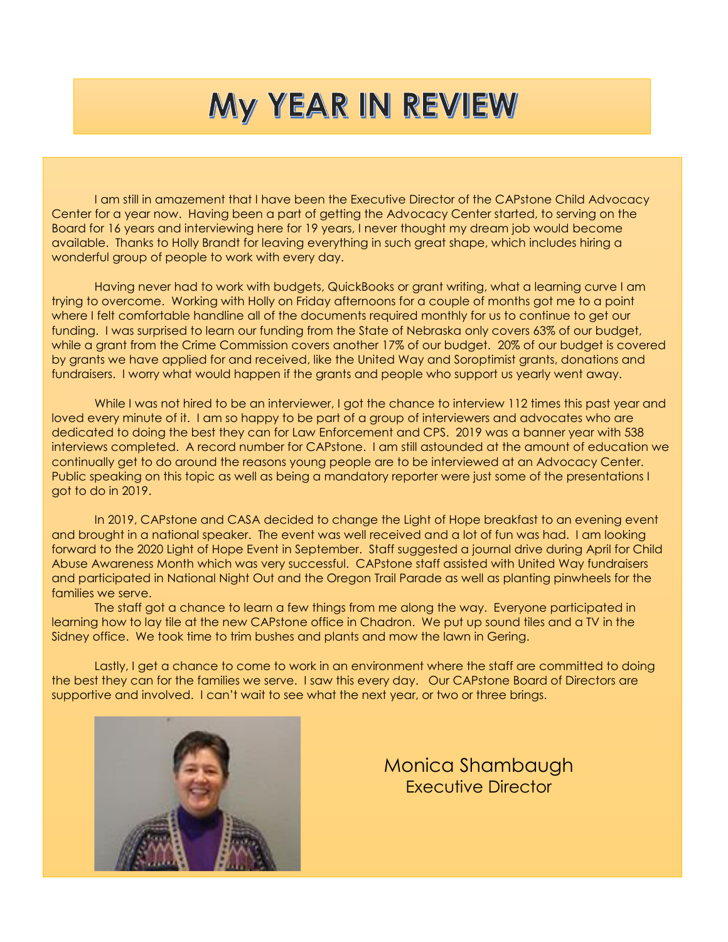# MY YEAR IN REVIEW

I am still in amazement that I have been the Executive Director of the CAPstone Child Advocacy Center for a year now. Having been a part of getting the Advocacy Center started, to serving on the Board for 16 years and interviewing here for 19 years, I never thought my dream job would become available. Thanks to Holly Brandt for leaving everything in such great shape, which includes hiring a wonderful group of people to work with every day.

Having never had to work with budgets, QuickBooks or grant writing, what a learning curve I am trying to overcome. Working with Holly on Friday afternoons for a couple of months got me to a point where I felt comfortable handline all of the documents required monthly for us to continue to get our funding. I was surprised to learn our funding from the State of Nebraska only covers 63% of our budget, while a grant from the Crime Commission covers another 17% of our budget. 20% of our budget is covered by grants we have applied for and received, like the United Way and Soroptimist grants, donations and fundraisers. I worry what would happen if the grants and people who support us yearly went away.

While I was not hired to be an interviewer, I got the chance to interview 112 times this past year and loved every minute of it. I am so happy to be part of a group of interviewers and advocates who are dedicated to doing the best they can for Law Enforcement and CPS. 2019 was a banner year with 538 interviews completed. A record number for CAPstone. I am still astounded at the amount of education we continually get to do around the reasons young people are to be interviewed at an Advocacy Center. Public speaking on this topic as well as being a mandatory reporter were just some of the presentations I got to do in 2019.

In 2019, CAPstone and CASA decided to change the Light of Hope breakfast to an evening event and brought in a national speaker. The event was well received and a lot of fun was had. I am looking forward to the 2020 Light of Hope Event in September. Staff suggested a journal drive during April for Child Abuse Awareness Month which was very successful. CAPstone staff assisted with United Way fundraisers and participated in National Night Out and the Oregon Trail Parade as well as planting pinwheels for the families we serve.

The staff got a chance to learn a few things from me along the way. Everyone participated in learning how to lay tile at the new CAPstone office in Chadron. We put up sound tiles and a TV in the Sidney office. We took time to trim bushes and plants and mow the lawn in Gering.

Lastly, I get a chance to come to work in an environment where the staff are committed to doing the best they can for the families we serve. I saw this every day. Our CAPstone Board of Directors are supportive and involved. I can't wait to see what the next year, or two or three brings.



Monica Shambaugh Executive Director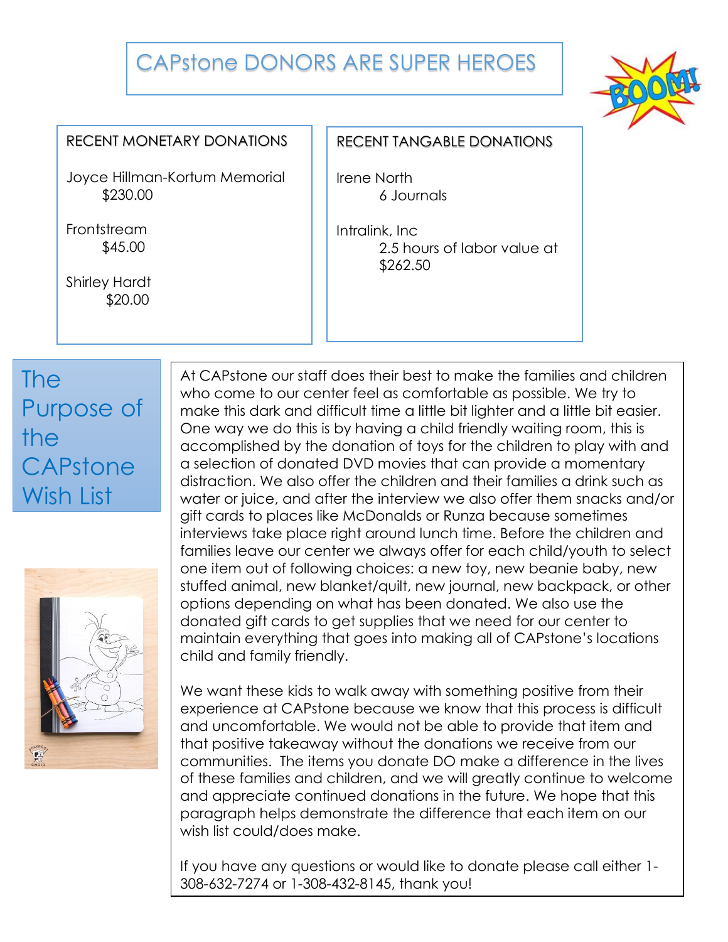## CAPstone DONORS ARE SUPER HEROES



#### RECENT MONETARY DONATIONS

Joyce Hillman-Kortum Memorial \$230.00

**Frontstream** \$45.00

Shirley Hardt \$20.00

#### RECENT TANGABLE DONATIONS

Irene North 6 Journals

Intralink, Inc 2.5 hours of labor value at \$262.50

# The Purpose of the CAPstone Wish List



At CAPstone our staff does their best to make the families and children who come to our center feel as comfortable as possible. We try to make this dark and difficult time a little bit lighter and a little bit easier. One way we do this is by having a child friendly waiting room, this is accomplished by the donation of toys for the children to play with and a selection of donated DVD movies that can provide a momentary distraction. We also offer the children and their families a drink such as water or juice, and after the interview we also offer them snacks and/or gift cards to places like McDonalds or Runza because sometimes interviews take place right around lunch time. Before the children and families leave our center we always offer for each child/youth to select one item out of following choices: a new toy, new beanie baby, new stuffed animal, new blanket/quilt, new journal, new backpack, or other options depending on what has been donated. We also use the donated gift cards to get supplies that we need for our center to maintain everything that goes into making all of CAPstone's locations child and family friendly.

We want these kids to walk away with something positive from their experience at CAPstone because we know that this process is difficult and uncomfortable. We would not be able to provide that item and that positive takeaway without the donations we receive from our communities. The items you donate DO make a difference in the lives of these families and children, and we will greatly continue to welcome and appreciate continued donations in the future. We hope that this paragraph helps demonstrate the difference that each item on our wish list could/does make.

If you have any questions or would like to donate please call either 1- 308-632-7274 or 1-308-432-8145, thank you!